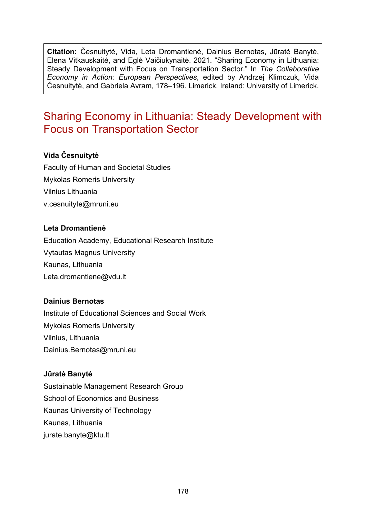**Citation:** Česnuitytė, Vida, Leta Dromantienė, Dainius Bernotas, Jūratė Banytė, Elena Vitkauskaitė, and Eglė Vaičiukynaitė. 2021. "Sharing Economy in Lithuania: Steady Development with Focus on Transportation Sector." In *The Collaborative Economy in Action: European Perspectives*, edited by Andrzej Klimczuk, Vida Česnuitytė, and Gabriela Avram, 178–196. Limerick, Ireland: University of Limerick.

# Sharing Economy in Lithuania: Steady Development with Focus on Transportation Sector

### **Vida Česnuitytė**

Faculty of Human and Societal Studies Mykolas Romeris University Vilnius Lithuania [v.cesnuityte@mruni.eu](mailto:v.cesnuityte@mruni.eu)

### **Leta Dromantienė**

Education Academy, Educational Research Institute Vytautas Magnus University Kaunas, Lithuania Leta.dromantiene@vdu.lt

### **Dainius Bernotas**

Institute of Educational Sciences and Social Work Mykolas Romeris University Vilnius, Lithuania [Dainius.Bernotas@mruni.eu](mailto:Dainius.Bernotas@mruni.eu)

### **Jūratė Banytė**

Sustainable Management Research Group School of Economics and Business Kaunas University of Technology Kaunas, Lithuania [jurate.banyte@ktu.lt](mailto:jurate.banyte@ktu.lt)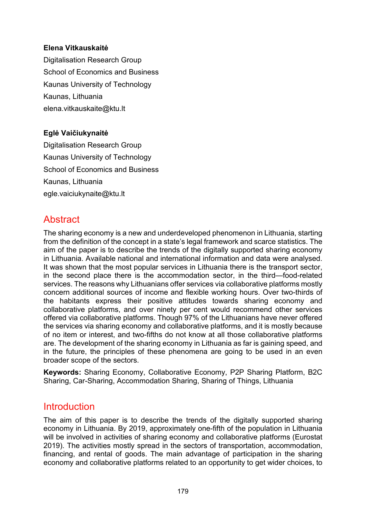### **Elena Vitkauskaitė**

Digitalisation Research Group School of Economics and Business Kaunas University of Technology Kaunas, Lithuania [elena.vitkauskaite@ktu.lt](mailto:elena.vitkauskaite@ktu.lt)

### **Eglė Vaičiukynaitė**

Digitalisation Research Group Kaunas University of Technology School of Economics and Business Kaunas, Lithuania [egle.vaiciukynaite@ktu.lt](mailto:egle.vaiciukynaite@ktu.lt)

## **Abstract**

The sharing economy is a new and underdeveloped phenomenon in Lithuania, starting from the definition of the concept in a state's legal framework and scarce statistics. The aim of the paper is to describe the trends of the digitally supported sharing economy in Lithuania. Available national and international information and data were analysed. It was shown that the most popular services in Lithuania there is the transport sector, in the second place there is the accommodation sector, in the third—food-related services. The reasons why Lithuanians offer services via collaborative platforms mostly concern additional sources of income and flexible working hours. Over two-thirds of the habitants express their positive attitudes towards sharing economy and collaborative platforms, and over ninety per cent would recommend other services offered via collaborative platforms. Though 97% of the Lithuanians have never offered the services via sharing economy and collaborative platforms, and it is mostly because of no item or interest, and two-fifths do not know at all those collaborative platforms are. The development of the sharing economy in Lithuania as far is gaining speed, and in the future, the principles of these phenomena are going to be used in an even broader scope of the sectors.

**Keywords:** Sharing Economy, Collaborative Economy, P2P Sharing Platform, B2C Sharing, Car-Sharing, Accommodation Sharing, Sharing of Things, Lithuania

## **Introduction**

The aim of this paper is to describe the trends of the digitally supported sharing economy in Lithuania. By 2019, approximately one-fifth of the population in Lithuania will be involved in activities of sharing economy and collaborative platforms (Eurostat 2019). The activities mostly spread in the sectors of transportation, accommodation, financing, and rental of goods. The main advantage of participation in the sharing economy and collaborative platforms related to an opportunity to get wider choices, to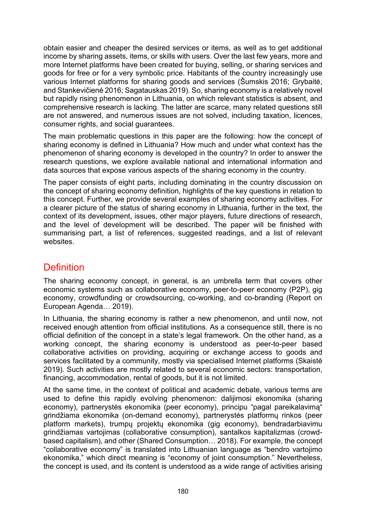obtain easier and cheaper the desired services or items, as well as to get additional income by sharing assets, items, or skills with users. Over the last few years, more and more Internet platforms have been created for buying, selling, or sharing services and goods for free or for a very symbolic price. Habitants of the country increasingly use various Internet platforms for sharing goods and services (Šumskis 2016; Grybaitė, and Stankevičienė 2016; Sagatauskas 2019). So, sharing economy is a relatively novel but rapidly rising phenomenon in Lithuania, on which relevant statistics is absent, and comprehensive research is lacking. The latter are scarce, many related questions still are not answered, and numerous issues are not solved, including taxation, licences, consumer rights, and social guarantees.

The main problematic questions in this paper are the following: how the concept of sharing economy is defined in Lithuania? How much and under what context has the phenomenon of sharing economy is developed in the country? In order to answer the research questions, we explore available national and international information and data sources that expose various aspects of the sharing economy in the country.

The paper consists of eight parts, including dominating in the country discussion on the concept of sharing economy definition, highlights of the key questions in relation to this concept. Further, we provide several examples of sharing economy activities. For a clearer picture of the status of sharing economy in Lithuania, further in the text, the context of its development, issues, other major players, future directions of research, and the level of development will be described. The paper will be finished with summarising part, a list of references, suggested readings, and a list of relevant websites.

# **Definition**

The sharing economy concept, in general, is an umbrella term that covers other economic systems such as collaborative economy, peer-to-peer economy (P2P), gig economy, crowdfunding or crowdsourcing, co-working, and co-branding (Report on European Agenda… 2019).

In Lithuania, the sharing economy is rather a new phenomenon, and until now, not received enough attention from official institutions. As a consequence still, there is no official definition of the concept in a state's legal framework. On the other hand, as a working concept, the sharing economy is understood as peer-to-peer based collaborative activities on providing, acquiring or exchange access to goods and services facilitated by a community, mostly via specialised Internet platforms (Skaistė 2019). Such activities are mostly related to several economic sectors: transportation, financing, accommodation, rental of goods, but it is not limited.

At the same time, in the context of political and academic debate, various terms are used to define this rapidly evolving phenomenon: dalijimosi ekonomika (sharing economy), partnerystės ekonomika (peer economy), principu "pagal pareikalavimą" grindžiama ekonomika (on-demand economy), partnerystės platformų rinkos (peer platform markets), trumpų projektų ekonomika (gig economy), bendradarbiavimu grindžiamas vartojimas (collaborative consumption), santalkos kapitalizmas (crowdbased capitalism), and other (Shared Consumption… 2018). For example, the concept "collaborative economy" is translated into Lithuanian language as "bendro vartojimo ekonomika," which direct meaning is "economy of joint consumption." Nevertheless, the concept is used, and its content is understood as a wide range of activities arising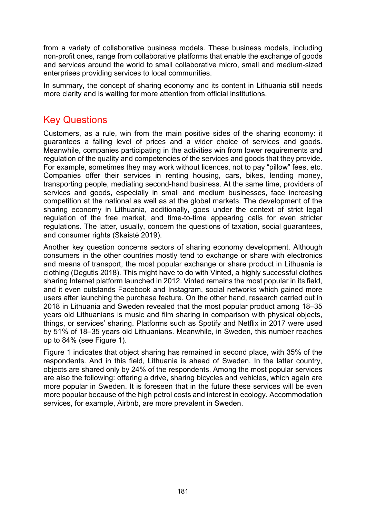from a variety of collaborative business models. These business models, including non-profit ones, range from collaborative platforms that enable the exchange of goods and services around the world to small collaborative micro, small and medium-sized enterprises providing services to local communities.

In summary, the concept of sharing economy and its content in Lithuania still needs more clarity and is waiting for more attention from official institutions.

## Key Questions

Customers, as a rule, win from the main positive sides of the sharing economy: it guarantees a falling level of prices and a wider choice of services and goods. Meanwhile, companies participating in the activities win from lower requirements and regulation of the quality and competencies of the services and goods that they provide. For example, sometimes they may work without licences, not to pay "pillow" fees, etc. Companies offer their services in renting housing, cars, bikes, lending money, transporting people, mediating second-hand business. At the same time, providers of services and goods, especially in small and medium businesses, face increasing competition at the national as well as at the global markets. The development of the sharing economy in Lithuania, additionally, goes under the context of strict legal regulation of the free market, and time-to-time appearing calls for even stricter regulations. The latter, usually, concern the questions of taxation, social guarantees, and consumer rights (Skaistė 2019).

Another key question concerns sectors of sharing economy development. Although consumers in the other countries mostly tend to exchange or share with electronics and means of transport, the most popular exchange or share product in Lithuania is clothing (Degutis 2018). This might have to do with Vinted, a highly successful clothes sharing Internet platform launched in 2012. Vinted remains the most popular in its field, and it even outstands Facebook and Instagram, social networks which gained more users after launching the purchase feature. On the other hand, research carried out in 2018 in Lithuania and Sweden revealed that the most popular product among 18–35 years old Lithuanians is music and film sharing in comparison with physical objects, things, or services' sharing. Platforms such as Spotify and Netflix in 2017 were used by 51% of 18–35 years old Lithuanians. Meanwhile, in Sweden, this number reaches up to 84% (see Figure 1).

Figure 1 indicates that object sharing has remained in second place, with 35% of the respondents. And in this field, Lithuania is ahead of Sweden. In the latter country, objects are shared only by 24% of the respondents. Among the most popular services are also the following: offering a drive, sharing bicycles and vehicles, which again are more popular in Sweden. It is foreseen that in the future these services will be even more popular because of the high petrol costs and interest in ecology. Accommodation services, for example, Airbnb, are more prevalent in Sweden.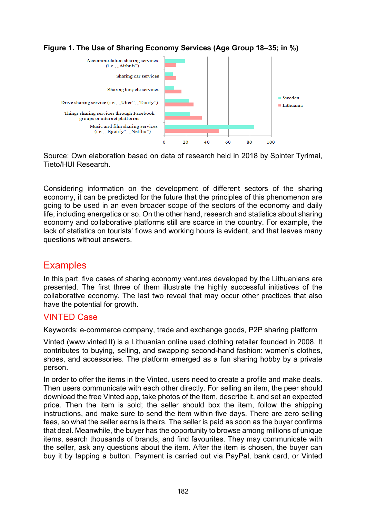



Source: Own elaboration based on data of research held in 2018 by Spinter Tyrimai, Tieto/HUI Research.

Considering information on the development of different sectors of the sharing economy, it can be predicted for the future that the principles of this phenomenon are going to be used in an even broader scope of the sectors of the economy and daily life, including energetics or so. On the other hand, research and statistics about sharing economy and collaborative platforms still are scarce in the country. For example, the lack of statistics on tourists' flows and working hours is evident, and that leaves many questions without answers.

## **Examples**

In this part, five cases of sharing economy ventures developed by the Lithuanians are presented. The first three of them illustrate the highly successful initiatives of the collaborative economy. The last two reveal that may occur other practices that also have the potential for growth.

### VINTED Case

Keywords: e-commerce company, trade and exchange goods, P2P sharing platform

Vinted [\(www.vinted.lt\)](https://www.vinted.lt/) is a Lithuanian online used clothing retailer founded in 2008. It contributes to buying, selling, and swapping second-hand fashion: women's clothes, shoes, and accessories. The platform emerged as a fun sharing hobby by a private person.

In order to offer the items in the Vinted, users need to create a profile and make deals. Then users communicate with each other directly. For selling an item, the peer should download the free Vinted app, take photos of the item, describe it, and set an expected price. Then the item is sold; the seller should box the item, follow the shipping instructions, and make sure to send the item within five days. There are zero selling fees, so what the seller earns is theirs. The seller is paid as soon as the buyer confirms that deal. Meanwhile, the buyer has the opportunity to browse among millions of unique items, search thousands of brands, and find favourites. They may communicate with the seller, ask any questions about the item. After the item is chosen, the buyer can buy it by tapping a button. Payment is carried out via PayPal, bank card, or Vinted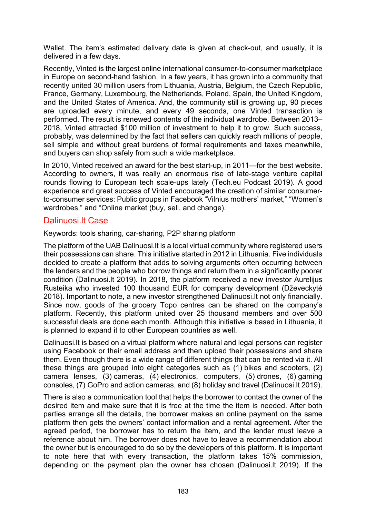Wallet. The item's estimated delivery date is given at check-out, and usually, it is delivered in a few days.

Recently, Vinted is the largest online international consumer-to-consumer marketplace in Europe on second-hand fashion. In a few years, it has grown into a community that recently united 30 million users from Lithuania, Austria, Belgium, the Czech Republic, France, Germany, Luxembourg, the Netherlands, Poland, Spain, the United Kingdom, and the United States of America. And, the community still is growing up, 90 pieces are uploaded every minute, and every 49 seconds, one Vinted transaction is performed. The result is renewed contents of the individual wardrobe. Between 2013– 2018, Vinted attracted \$100 million of investment to help it to grow. Such success, probably, was determined by the fact that sellers can quickly reach millions of people, sell simple and without great burdens of formal requirements and taxes meanwhile, and buyers can shop safely from such a wide marketplace.

In 2010, Vinted received an award for the best start-up, in 2011—for the best website. According to owners, it was really an enormous rise of late-stage venture capital rounds flowing to European tech scale-ups lately (Tech.eu Podcast 2019). A good experience and great success of Vinted encouraged the creation of similar consumerto-consumer services: Public groups in Facebook "Vilnius mothers' market," "Women's wardrobes," and "Online market (buy, sell, and change).

### Dalinuosi.lt Case

Keywords: tools sharing, car-sharing, P2P sharing platform

The platform of the UAB Dalinuosi.lt is a local virtual community where registered users their possessions can share. This initiative started in 2012 in Lithuania. Five individuals decided to create a platform that adds to solving arguments often occurring between the lenders and the people who borrow things and return them in a significantly poorer condition (Dalinuosi.lt 2019). In 2018, the platform received a new investor Aurelijus Rusteika who invested 100 thousand EUR for company development (Dževeckytė 2018). Important to note, a new investor strengthened Dalinuosi.lt not only financially. Since now, goods of the grocery Topo centres can be shared on the company's platform. Recently, this platform united over 25 thousand members and over 500 successful deals are done each month. Although this initiative is based in Lithuania, it is planned to expand it to other European countries as well.

Dalinuosi.lt is based on a virtual platform where natural and legal persons can register using Facebook or their email address and then upload their possessions and share them. Even though there is a wide range of different things that can be rented via it. All these things are grouped into eight categories such as (1) bikes and scooters, (2) camera lenses, (3) cameras, (4) electronics, computers, (5) drones, (6) gaming consoles, (7) GoPro and action cameras, and (8) holiday and travel (Dalinuosi.lt 2019).

There is also a communication tool that helps the borrower to contact the owner of the desired item and make sure that it is free at the time the item is needed. After both parties arrange all the details, the borrower makes an online payment on the same platform then gets the owners' contact information and a rental agreement. After the agreed period, the borrower has to return the item, and the lender must leave a reference about him. The borrower does not have to leave a recommendation about the owner but is encouraged to do so by the developers of this platform. It is important to note here that with every transaction, the platform takes 15% commission, depending on the payment plan the owner has chosen (Dalinuosi.lt 2019). If the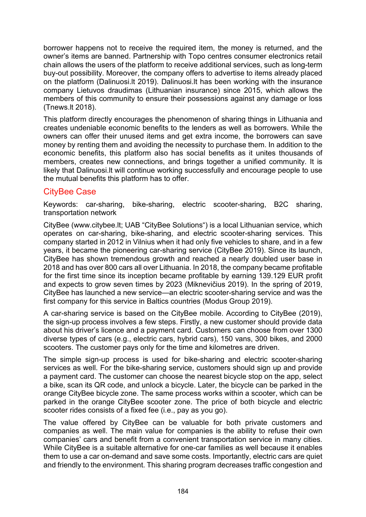borrower happens not to receive the required item, the money is returned, and the owner's items are banned. Partnership with Topo centres consumer electronics retail chain allows the users of the platform to receive additional services, such as long-term buy-out possibility. Moreover, the company offers to advertise to items already placed on the platform (Dalinuosi.lt 2019). Dalinuosi.lt has been working with the insurance company Lietuvos draudimas (Lithuanian insurance) since 2015, which allows the members of this community to ensure their possessions against any damage or loss (Tnews.lt 2018).

This platform directly encourages the phenomenon of sharing things in Lithuania and creates undeniable economic benefits to the lenders as well as borrowers. While the owners can offer their unused items and get extra income, the borrowers can save money by renting them and avoiding the necessity to purchase them. In addition to the economic benefits, this platform also has social benefits as it unites thousands of members, creates new connections, and brings together a unified community. It is likely that Dalinuosi.lt will continue working successfully and encourage people to use the mutual benefits this platform has to offer.

## CityBee Case

Keywords: car-sharing, bike-sharing, electric scooter-sharing, B2C sharing, transportation network

CityBee (www[.citybee.lt](https://www.citybee.lt/); UAB "CityBee Solutions") is a local Lithuanian service, which operates on car-sharing, bike-sharing, and electric scooter-sharing services. This company started in 2012 in Vilnius when it had only five vehicles to share, and in a few years, it became the pioneering car-sharing service (CityBee 2019). Since its launch, CityBee has shown tremendous growth and reached a nearly doubled user base in 2018 and has over 800 cars all over Lithuania. In 2018, the company became profitable for the first time since its inception became profitable by earning 139.129 EUR profit and expects to grow seven times by 2023 (Miknevičius 2019). In the spring of 2019, CityBee has launched a new service—an electric scooter-sharing service and was the first company for this service in Baltics countries (Modus Group 2019).

A car-sharing service is based on the CityBee mobile. According to CityBee (2019), the sign-up process involves a few steps. Firstly, a new customer should provide data about his driver's licence and a payment card. Customers can choose from over 1300 diverse types of cars (e.g., electric cars, hybrid cars), 150 vans, 300 bikes, and 2000 scooters. The customer pays only for the time and kilometres are driven.

The simple sign-up process is used for bike-sharing and electric scooter-sharing services as well. For the bike-sharing service, customers should sign up and provide a payment card. The customer can choose the nearest bicycle stop on the app, select a bike, scan its QR code, and unlock a bicycle. Later, the bicycle can be parked in the orange CityBee bicycle zone. The same process works within a scooter, which can be parked in the orange CityBee scooter zone. The price of both bicycle and electric scooter rides consists of a fixed fee (i.e., pay as you go).

The value offered by CityBee can be valuable for both private customers and companies as well. The main value for companies is the ability to refuse their own companies' cars and benefit from a convenient transportation service in many cities. While CityBee is a suitable alternative for one-car families as well because it enables them to use a car on-demand and save some costs. Importantly, electric cars are quiet and friendly to the environment. This sharing program decreases traffic congestion and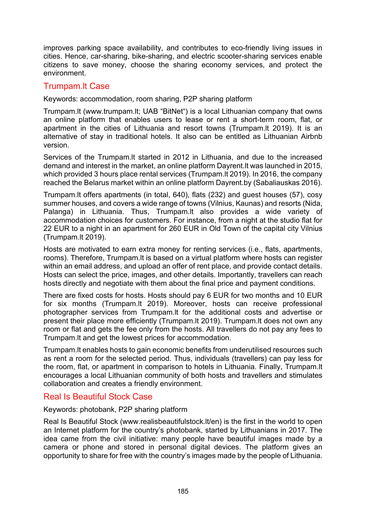improves parking space availability, and contributes to eco-friendly living issues in cities. Hence, car-sharing, bike-sharing, and electric scooter-sharing services enable citizens to save money, choose the sharing economy services, and protect the environment.

### Trumpam.lt Case

Keywords: accommodation, room sharing, P2P sharing platform

Trumpam.lt [\(www.trumpam.lt;](https://www.trumpam.lt/) UAB "BitNet") is a local Lithuanian company that owns an online platform that enables users to lease or rent a short-term room, flat, or apartment in the cities of Lithuania and resort towns (Trumpam.lt 2019). It is an alternative of stay in traditional hotels. It also can be entitled as Lithuanian Airbnb version.

Services of the Trumpam.lt started in 2012 in Lithuania, and due to the increased demand and interest in the market, an online platform Dayrent.lt was launched in 2015, which provided 3 hours place rental services (Trumpam.lt 2019). In 2016, the company reached the Belarus market within an online platform Dayrent.by (Sabaliauskas 2016).

Trumpam.lt offers apartments (in total, 640), flats (232) and guest houses (57), cosy summer houses, and covers a wide range of towns (Vilnius, Kaunas) and resorts (Nida, Palanga) in Lithuania. Thus, Trumpam.lt also provides a wide variety of accommodation choices for customers. For instance, from a night at the studio flat for 22 EUR to a night in an apartment for 260 EUR in Old Town of the capital city Vilnius (Trumpam.lt 2019).

Hosts are motivated to earn extra money for renting services (i.e., flats, apartments, rooms). Therefore, Trumpam.lt is based on a virtual platform where hosts can register within an email address, and upload an offer of rent place, and provide contact details. Hosts can select the price, images, and other details. Importantly, travellers can reach hosts directly and negotiate with them about the final price and payment conditions.

There are fixed costs for hosts. Hosts should pay 6 EUR for two months and 10 EUR for six months (Trumpam.lt 2019). Moreover, hosts can receive professional photographer services from Trumpam.lt for the additional costs and advertise or present their place more efficiently (Trumpam.lt 2019). Trumpam.lt does not own any room or flat and gets the fee only from the hosts. All travellers do not pay any fees to Trumpam.lt and get the lowest prices for accommodation.

Trumpam.lt enables hosts to gain economic benefits from underutilised resources such as rent a room for the selected period. Thus, individuals (travellers) can pay less for the room, flat, or apartment in comparison to hotels in Lithuania. Finally, Trumpam.lt encourages a local Lithuanian community of both hosts and travellers and stimulates collaboration and creates a friendly environment.

### Real Is Beautiful Stock Case

#### Keywords: photobank, P2P sharing platform

Real Is Beautiful Stock (www[.realisbeautifulstock.lt/en](http://www.realisbeautifulstock.lt/en)) is the first in the world to open an Internet platform for the country's photobank, started by Lithuanians in 2017. The idea came from the civil initiative: many people have beautiful images made by a camera or phone and stored in personal digital devices. The platform gives an opportunity to share for free with the country's images made by the people of Lithuania.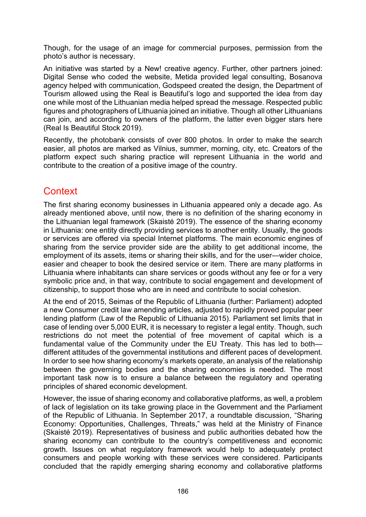Though, for the usage of an image for commercial purposes, permission from the photo's author is necessary.

An initiative was started by a New! creative agency. Further, other partners joined: Digital Sense who coded the website, Metida provided legal consulting, Bosanova agency helped with communication, Godspeed created the design, the Department of Tourism allowed using the Real is Beautiful's logo and supported the idea from day one while most of the Lithuanian media helped spread the message. Respected public figures and photographers of Lithuania joined an initiative. Though all other Lithuanians can join, and according to owners of the platform, the latter even bigger stars here (Real Is Beautiful Stock 2019).

Recently, the photobank consists of over 800 photos. In order to make the search easier, all photos are marked as Vilnius, summer, morning, city, etc. Creators of the platform expect such sharing practice will represent Lithuania in the world and contribute to the creation of a positive image of the country.

# **Context**

The first sharing economy businesses in Lithuania appeared only a decade ago. As already mentioned above, until now, there is no definition of the sharing economy in the Lithuanian legal framework (Skaistė 2019). The essence of the sharing economy in Lithuania: one entity directly providing services to another entity. Usually, the goods or services are offered via special Internet platforms. The main economic engines of sharing from the service provider side are the ability to get additional income, the employment of its assets, items or sharing their skills, and for the user—wider choice, easier and cheaper to book the desired service or item. There are many platforms in Lithuania where inhabitants can share services or goods without any fee or for a very symbolic price and, in that way, contribute to social engagement and development of citizenship, to support those who are in need and contribute to social cohesion.

At the end of 2015, Seimas of the Republic of Lithuania (further: Parliament) adopted a new Consumer credit law amending articles, adjusted to rapidly proved popular peer lending platform (Law of the Republic of Lithuania 2015). Parliament set limits that in case of lending over 5,000 EUR, it is necessary to register a legal entity. Though, such restrictions do not meet the potential of free movement of capital which is a fundamental value of the Community under the EU Treaty. This has led to both different attitudes of the governmental institutions and different paces of development. In order to see how sharing economy's markets operate, an analysis of the relationship between the governing bodies and the sharing economies is needed. The most important task now is to ensure a balance between the regulatory and operating principles of shared economic development.

However, the issue of sharing economy and collaborative platforms, as well, a problem of lack of legislation on its take growing place in the Government and the Parliament of the Republic of Lithuania. In September 2017, a roundtable discussion, "Sharing Economy: Opportunities, Challenges, Threats," was held at the Ministry of Finance (Skaistė 2019). Representatives of business and public authorities debated how the sharing economy can contribute to the country's competitiveness and economic growth. Issues on what regulatory framework would help to adequately protect consumers and people working with these services were considered. Participants concluded that the rapidly emerging sharing economy and collaborative platforms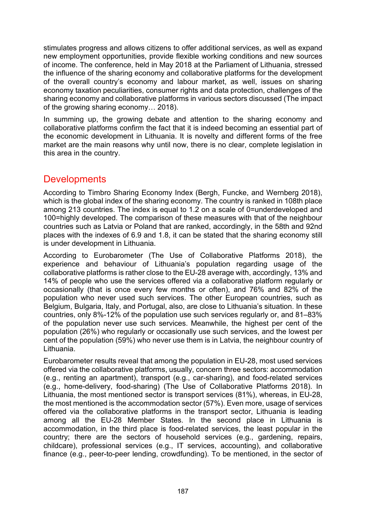stimulates progress and allows citizens to offer additional services, as well as expand new employment opportunities, provide flexible working conditions and new sources of income. The conference, held in May 2018 at the Parliament of Lithuania, stressed the influence of the sharing economy and collaborative platforms for the development of the overall country's economy and labour market, as well, issues on sharing economy taxation peculiarities, consumer rights and data protection, challenges of the sharing economy and collaborative platforms in various sectors discussed (The impact of the growing sharing economy… 2018).

In summing up, the growing debate and attention to the sharing economy and collaborative platforms confirm the fact that it is indeed becoming an essential part of the economic development in Lithuania. It is novelty and different forms of the free market are the main reasons why until now, there is no clear, complete legislation in this area in the country.

## **Developments**

According to Timbro Sharing Economy Index (Bergh, Funcke, and Wernberg 2018), which is the global index of the sharing economy. The country is ranked in 108th place among 213 countries. The index is equal to 1.2 on a scale of 0=underdeveloped and 100=highly developed. The comparison of these measures with that of the neighbour countries such as Latvia or Poland that are ranked, accordingly, in the 58th and 92nd places with the indexes of 6.9 and 1.8, it can be stated that the sharing economy still is under development in Lithuania.

According to Eurobarometer (The Use of Collaborative Platforms 2018), the experience and behaviour of Lithuania's population regarding usage of the collaborative platforms is rather close to the EU-28 average with, accordingly, 13% and 14% of people who use the services offered via a collaborative platform regularly or occasionally (that is once every few months or often), and 76% and 82% of the population who never used such services. The other European countries, such as Belgium, Bulgaria, Italy, and Portugal, also, are close to Lithuania's situation. In these countries, only 8%-12% of the population use such services regularly or, and 81–83% of the population never use such services. Meanwhile, the highest per cent of the population (26%) who regularly or occasionally use such services, and the lowest per cent of the population (59%) who never use them is in Latvia, the neighbour country of Lithuania.

Eurobarometer results reveal that among the population in EU-28, most used services offered via the collaborative platforms, usually, concern three sectors: accommodation (e.g., renting an apartment), transport (e.g., car-sharing), and food-related services (e.g., home-delivery, food-sharing) (The Use of Collaborative Platforms 2018). In Lithuania, the most mentioned sector is transport services (81%), whereas, in EU-28, the most mentioned is the accommodation sector (57%). Even more, usage of services offered via the collaborative platforms in the transport sector, Lithuania is leading among all the EU-28 Member States. In the second place in Lithuania is accommodation, in the third place is food-related services, the least popular in the country; there are the sectors of household services (e.g., gardening, repairs, childcare), professional services (e.g., IT services, accounting), and collaborative finance (e.g., peer-to-peer lending, crowdfunding). To be mentioned, in the sector of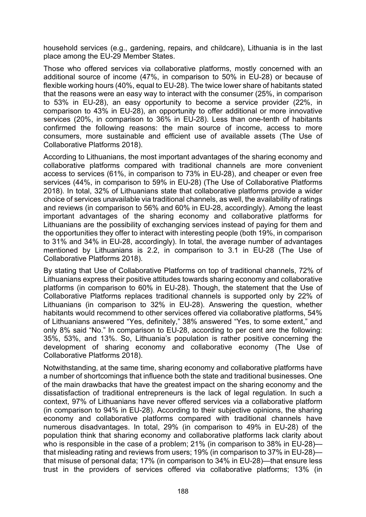household services (e.g., gardening, repairs, and childcare), Lithuania is in the last place among the EU-29 Member States.

Those who offered services via collaborative platforms, mostly concerned with an additional source of income (47%, in comparison to 50% in EU-28) or because of flexible working hours (40%, equal to EU-28). The twice lower share of habitants stated that the reasons were an easy way to interact with the consumer (25%, in comparison to 53% in EU-28), an easy opportunity to become a service provider (22%, in comparison to 43% in EU-28), an opportunity to offer additional or more innovative services (20%, in comparison to 36% in EU-28). Less than one-tenth of habitants confirmed the following reasons: the main source of income, access to more consumers, more sustainable and efficient use of available assets (The Use of Collaborative Platforms 2018).

According to Lithuanians, the most important advantages of the sharing economy and collaborative platforms compared with traditional channels are more convenient access to services (61%, in comparison to 73% in EU-28), and cheaper or even free services (44%, in comparison to 59% in EU-28) (The Use of Collaborative Platforms 2018). In total, 32% of Lithuanians state that collaborative platforms provide a wider choice of services unavailable via traditional channels, as well, the availability of ratings and reviews (in comparison to 56% and 60% in EU-28, accordingly). Among the least important advantages of the sharing economy and collaborative platforms for Lithuanians are the possibility of exchanging services instead of paying for them and the opportunities they offer to interact with interesting people (both 19%, in comparison to 31% and 34% in EU-28, accordingly). In total, the average number of advantages mentioned by Lithuanians is 2.2, in comparison to 3.1 in EU-28 (The Use of Collaborative Platforms 2018).

By stating that Use of Collaborative Platforms on top of traditional channels, 72% of Lithuanians express their positive attitudes towards sharing economy and collaborative platforms (in comparison to 60% in EU-28). Though, the statement that the Use of Collaborative Platforms replaces traditional channels is supported only by 22% of Lithuanians (in comparison to 32% in EU-28). Answering the question, whether habitants would recommend to other services offered via collaborative platforms, 54% of Lithuanians answered "Yes, definitely," 38% answered "Yes, to some extent," and only 8% said "No." In comparison to EU-28, according to per cent are the following: 35%, 53%, and 13%. So, Lithuania's population is rather positive concerning the development of sharing economy and collaborative economy (The Use of Collaborative Platforms 2018).

Notwithstanding, at the same time, sharing economy and collaborative platforms have a number of shortcomings that influence both the state and traditional businesses. One of the main drawbacks that have the greatest impact on the sharing economy and the dissatisfaction of traditional entrepreneurs is the lack of legal regulation. In such a context, 97% of Lithuanians have never offered services via a collaborative platform (in comparison to 94% in EU-28). According to their subjective opinions, the sharing economy and collaborative platforms compared with traditional channels have numerous disadvantages. In total, 29% (in comparison to 49% in EU-28) of the population think that sharing economy and collaborative platforms lack clarity about who is responsible in the case of a problem; 21% (in comparison to 38% in EU-28) that misleading rating and reviews from users; 19% (in comparison to 37% in EU-28) that misuse of personal data; 17% (in comparison to 34% in EU-28)—that ensure less trust in the providers of services offered via collaborative platforms; 13% (in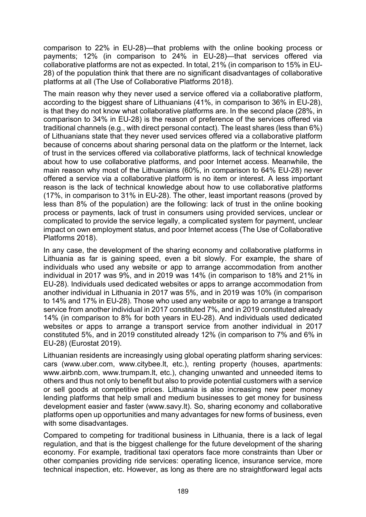comparison to 22% in EU-28)—that problems with the online booking process or payments; 12% (in comparison to 24% in EU-28)—that services offered via collaborative platforms are not as expected. In total, 21% (in comparison to 15% in EU-28) of the population think that there are no significant disadvantages of collaborative platforms at all (The Use of Collaborative Platforms 2018).

The main reason why they never used a service offered via a collaborative platform, according to the biggest share of Lithuanians (41%, in comparison to 36% in EU-28), is that they do not know what collaborative platforms are. In the second place (28%, in comparison to 34% in EU-28) is the reason of preference of the services offered via traditional channels (e.g., with direct personal contact). The least shares (less than 6%) of Lithuanians state that they never used services offered via a collaborative platform because of concerns about sharing personal data on the platform or the Internet, lack of trust in the services offered via collaborative platforms, lack of technical knowledge about how to use collaborative platforms, and poor Internet access. Meanwhile, the main reason why most of the Lithuanians (60%, in comparison to 64% EU-28) never offered a service via a collaborative platform is no item or interest. A less important reason is the lack of technical knowledge about how to use collaborative platforms (17%, in comparison to 31% in EU-28). The other, least important reasons (proved by less than 8% of the population) are the following: lack of trust in the online booking process or payments, lack of trust in consumers using provided services, unclear or complicated to provide the service legally, a complicated system for payment, unclear impact on own employment status, and poor Internet access (The Use of Collaborative Platforms 2018).

In any case, the development of the sharing economy and collaborative platforms in Lithuania as far is gaining speed, even a bit slowly. For example, the share of individuals who used any website or app to arrange accommodation from another individual in 2017 was 9%, and in 2019 was 14% (in comparison to 18% and 21% in EU-28). Individuals used dedicated websites or apps to arrange accommodation from another individual in Lithuania in 2017 was 5%, and in 2019 was 10% (in comparison to 14% and 17% in EU-28). Those who used any website or app to arrange a transport service from another individual in 2017 constituted 7%, and in 2019 constituted already 14% (in comparison to 8% for both years in EU-28). And individuals used dedicated websites or apps to arrange a transport service from another individual in 2017 constituted 5%, and in 2019 constituted already 12% (in comparison to 7% and 6% in EU-28) (Eurostat 2019).

Lithuanian residents are increasingly using global operating platform sharing services: cars ([www.uber](http://www.uber/).com, [www.citybee.lt](http://www.citybee.lt/), etc.), renting property (houses, apartments: [www.airbnb](http://www.airbnb/).com, [www.trumpam.lt,](http://www.trumpam.lt/) etc.), changing unwanted and unneeded items to others and thus not only to benefit but also to provide potential customers with a service or sell goods at competitive prices. Lithuania is also increasing new peer money lending platforms that help small and medium businesses to get money for business development easier and faster [\(www.savy.lt](http://www.savy.lt/)). So, sharing economy and collaborative platforms open up opportunities and many advantages for new forms of business, even with some disadvantages.

Compared to competing for traditional business in Lithuania, there is a lack of legal regulation, and that is the biggest challenge for the future development of the sharing economy. For example, traditional taxi operators face more constraints than Uber or other companies providing ride services: operating licence, insurance service, more technical inspection, etc. However, as long as there are no straightforward legal acts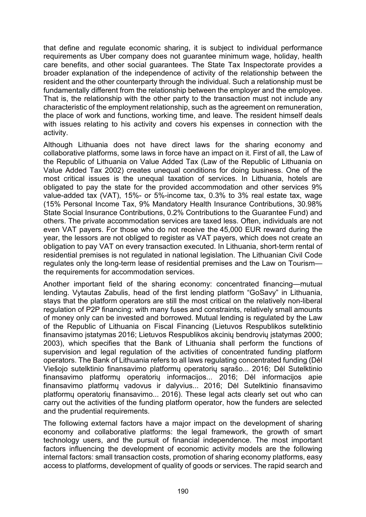that define and regulate economic sharing, it is subject to individual performance requirements as Uber company does not guarantee minimum wage, holiday, health care benefits, and other social guarantees. The State Tax Inspectorate provides a broader explanation of the independence of activity of the relationship between the resident and the other counterparty through the individual. Such a relationship must be fundamentally different from the relationship between the employer and the employee. That is, the relationship with the other party to the transaction must not include any characteristic of the employment relationship, such as the agreement on remuneration, the place of work and functions, working time, and leave. The resident himself deals with issues relating to his activity and covers his expenses in connection with the activity.

Although Lithuania does not have direct laws for the sharing economy and collaborative platforms, some laws in force have an impact on it. First of all, the Law of the Republic of Lithuania on Value Added Tax (Law of the Republic of Lithuania on Value Added Tax 2002) creates unequal conditions for doing business. One of the most critical issues is the unequal taxation of services. In Lithuania, hotels are obligated to pay the state for the provided accommodation and other services 9% value-added tax (VAT), 15%- or 5%-income tax, 0.3% to 3% real estate tax, wage (15% Personal Income Tax, 9% Mandatory Health Insurance Contributions, 30.98% State Social Insurance Contributions, 0.2% Contributions to the Guarantee Fund) and others. The private accommodation services are taxed less. Often, individuals are not even VAT payers. For those who do not receive the 45,000 EUR reward during the year, the lessors are not obliged to register as VAT payers, which does not create an obligation to pay VAT on every transaction executed. In Lithuania, short-term rental of residential premises is not regulated in national legislation. The Lithuanian Civil Code regulates only the long-term lease of residential premises and the Law on Tourism the requirements for accommodation services.

Another important field of the sharing economy: concentrated financing—mutual lending. Vytautas Zabulis, head of the first lending platform "GoSavy" in Lithuania, stays that the platform operators are still the most critical on the relatively non-liberal regulation of P2P financing: with many fuses and constraints, relatively small amounts of money only can be invested and borrowed. Mutual lending is regulated by the Law of the Republic of Lithuania on Fiscal Financing (Lietuvos Respublikos sutelktinio finansavimo įstatymas 2016; Lietuvos Respublikos akcinių bendrovių įstatymas 2000; 2003), which specifies that the Bank of Lithuania shall perform the functions of supervision and legal regulation of the activities of concentrated funding platform operators. The Bank of Lithuania refers to all laws regulating concentrated funding (Dėl Viešojo sutelktinio finansavimo platformų operatorių sąrašo... 2016; Dėl Sutelktinio finansavimo platformų operatorių informacijos... 2016; Dėl informacijos apie finansavimo platformų vadovus ir dalyvius... 2016; Dėl Sutelktinio finansavimo platformų operatorių finansavimo... 2016). These legal acts clearly set out who can carry out the activities of the funding platform operator, how the funders are selected and the prudential requirements.

The following external factors have a major impact on the development of sharing economy and collaborative platforms: the legal framework, the growth of smart technology users, and the pursuit of financial independence. The most important factors influencing the development of economic activity models are the following internal factors: small transaction costs, promotion of sharing economy platforms, easy access to platforms, development of quality of goods or services. The rapid search and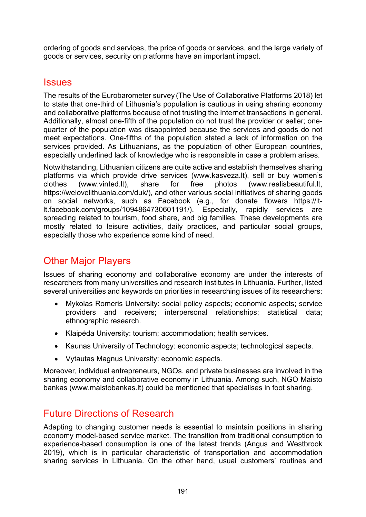ordering of goods and services, the price of goods or services, and the large variety of goods or services, security on platforms have an important impact.

### **Issues**

The results of the Eurobarometer survey (The Use of Collaborative Platforms 2018) let to state that one-third of Lithuania's population is cautious in using sharing economy and collaborative platforms because of not trusting the Internet transactions in general. Additionally, almost one-fifth of the population do not trust the provider or seller; onequarter of the population was disappointed because the services and goods do not meet expectations. One-fifths of the population stated a lack of information on the services provided. As Lithuanians, as the population of other European countries, especially underlined lack of knowledge who is responsible in case a problem arises.

Notwithstanding, Lithuanian citizens are quite active and establish themselves sharing platforms via which provide drive services [\(www.kasveza.lt](http://www.kasveza.lt/)), sell or buy women's clothes [\(www.vinted.lt\)](http://www.vinted.lt/), share for free photos ([www.realisbeautiful.lt](http://www.realisbeautiful.lt/), [https://welovelithuania.com/duk/\)](https://welovelithuania.com/duk/), and other various social initiatives of sharing goods on social networks, such as Facebook (e.g., for donate flowers [https://lt](https://lt-lt.facebook.com/groups/1094864730601191/)[lt.facebook.com/groups/10948647306](https://lt-lt.facebook.com/groups/1094864730601191/)01191/). Especially, rapidly services are spreading related to tourism, food share, and big families. These developments are mostly related to leisure activities, daily practices, and particular social groups, especially those who experience some kind of need.

# Other Major Players

Issues of sharing economy and collaborative economy are under the interests of researchers from many universities and research institutes in Lithuania. Further, listed several universities and keywords on priorities in researching issues of its researchers:

- Mykolas Romeris University: social policy aspects; economic aspects; service providers and receivers; interpersonal relationships; statistical data; ethnographic research.
- Klaipėda University: tourism; accommodation; health services.
- Kaunas University of Technology: economic aspects; technological aspects.
- Vytautas Magnus University: economic aspects.

Moreover, individual entrepreneurs, NGOs, and private businesses are involved in the sharing economy and collaborative economy in Lithuania. Among such, NGO Maisto bankas (www[.maistobankas.lt\)](https://www.maistobankas.lt/) could be mentioned that specialises in foot sharing.

## Future Directions of Research

Adapting to changing customer needs is essential to maintain positions in sharing economy model-based service market. The transition from traditional consumption to experience-based consumption is one of the latest trends (Angus and Westbrook 2019), which is in particular characteristic of transportation and accommodation sharing services in Lithuania. On the other hand, usual customers' routines and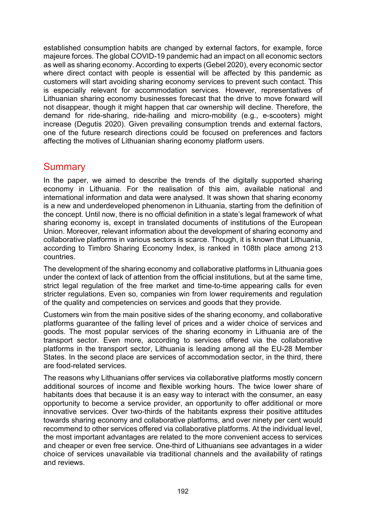established consumption habits are changed by external factors, for example, force majeure forces. The global COVID-19 pandemic had an impact on all economic sectors as well as sharing economy. According to experts (Gebel 2020), every economic sector where direct contact with people is essential will be affected by this pandemic as customers will start avoiding sharing economy services to prevent such contact. This is especially relevant for accommodation services. However, representatives of Lithuanian sharing economy businesses forecast that the drive to move forward will not disappear, though it might happen that car ownership will decline. Therefore, the demand for ride-sharing, ride-hailing and micro-mobility (e.g., e-scooters) might increase (Degutis 2020). Given prevailing consumption trends and external factors, one of the future research directions could be focused on preferences and factors affecting the motives of Lithuanian sharing economy platform users.

## **Summary**

In the paper, we aimed to describe the trends of the digitally supported sharing economy in Lithuania. For the realisation of this aim, available national and international information and data were analysed. It was shown that sharing economy is a new and underdeveloped phenomenon in Lithuania, starting from the definition of the concept. Until now, there is no official definition in a state's legal framework of what sharing economy is, except in translated documents of institutions of the European Union. Moreover, relevant information about the development of sharing economy and collaborative platforms in various sectors is scarce. Though, it is known that Lithuania, according to Timbro Sharing Economy Index, is ranked in 108th place among 213 countries.

The development of the sharing economy and collaborative platforms in Lithuania goes under the context of lack of attention from the official institutions, but at the same time, strict legal regulation of the free market and time-to-time appearing calls for even stricter regulations. Even so, companies win from lower requirements and regulation of the quality and competencies on services and goods that they provide.

Customers win from the main positive sides of the sharing economy, and collaborative platforms guarantee of the falling level of prices and a wider choice of services and goods. The most popular services of the sharing economy in Lithuania are of the transport sector. Even more, according to services offered via the collaborative platforms in the transport sector, Lithuania is leading among all the EU-28 Member States. In the second place are services of accommodation sector, in the third, there are food-related services.

The reasons why Lithuanians offer services via collaborative platforms mostly concern additional sources of income and flexible working hours. The twice lower share of habitants does that because it is an easy way to interact with the consumer, an easy opportunity to become a service provider, an opportunity to offer additional or more innovative services. Over two-thirds of the habitants express their positive attitudes towards sharing economy and collaborative platforms, and over ninety per cent would recommend to other services offered via collaborative platforms. At the individual level, the most important advantages are related to the more convenient access to services and cheaper or even free service. One-third of Lithuanians see advantages in a wider choice of services unavailable via traditional channels and the availability of ratings and reviews.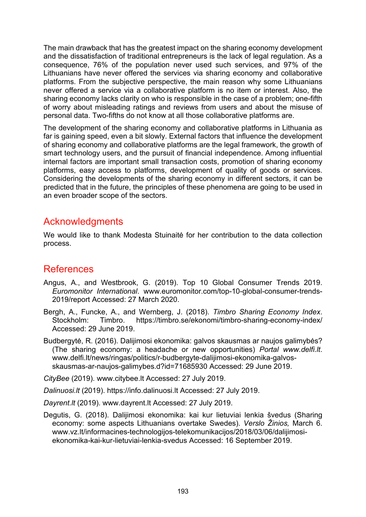The main drawback that has the greatest impact on the sharing economy development and the dissatisfaction of traditional entrepreneurs is the lack of legal regulation. As a consequence, 76% of the population never used such services, and 97% of the Lithuanians have never offered the services via sharing economy and collaborative platforms. From the subjective perspective, the main reason why some Lithuanians never offered a service via a collaborative platform is no item or interest. Also, the sharing economy lacks clarity on who is responsible in the case of a problem; one-fifth of worry about misleading ratings and reviews from users and about the misuse of personal data. Two-fifths do not know at all those collaborative platforms are.

The development of the sharing economy and collaborative platforms in Lithuania as far is gaining speed, even a bit slowly. External factors that influence the development of sharing economy and collaborative platforms are the legal framework, the growth of smart technology users, and the pursuit of financial independence. Among influential internal factors are important small transaction costs, promotion of sharing economy platforms, easy access to platforms, development of quality of goods or services. Considering the developments of the sharing economy in different sectors, it can be predicted that in the future, the principles of these phenomena are going to be used in an even broader scope of the sectors.

## Acknowledgments

We would like to thank Modesta Stuinaitė for her contribution to the data collection process.

## References

- Angus, A., and Westbrook, G. (2019). Top 10 Global Consumer Trends 2019. *Euromonitor International*. [www.euromonitor.com/top-10-](https://www.euromonitor.com/top-10-global-consumer-trends-2019/report)global-consumer-trends-[2019/report](https://www.euromonitor.com/top-10-global-consumer-trends-2019/report) Accessed: 27 March 2020.
- Bergh, A., Funcke, A., and Wernberg, J. (2018). *Timbro Sharing Economy Index*. Stockholm: Timbro. [https://timbro.se/ekonomi/timbro](https://timbro.se/ekonomi/timbro-sharing-economy-index/)-sharing-economy-index/ Accessed: 29 June 2019.
- Budbergytė, R. (2016). Dalijimosi ekonomika: galvos skausmas ar naujos galimybės? (The sharing economy: a headache or new opportunities) *Portal www.delfi.lt*. [www.delfi.lt/news/ringas/politics/r-](http://www.delfi.lt/news/ringas/politics/r-budbergyte-dalijimosi-ekonomika-galvos-skausmas-ar-naujos-galimybes.d?id=71685930)budbergyte-dalijimosi-ekonomika-galvosskausmas-ar-naujos-[galimybes.d?id=71685930](http://www.delfi.lt/news/ringas/politics/r-budbergyte-dalijimosi-ekonomika-galvos-skausmas-ar-naujos-galimybes.d?id=71685930) Accessed: 29 June 2019.

*CityBee* (2019). [www.citybee.lt](https://www.citybee.lt/) Accessed: 27 July 2019.

*Dalinuosi.lt* (2019). [https://info.dalinuosi.lt](https://info.dalinuosi.lt/) Accessed: 27 July 2019.

*Dayrent.lt* (2019). www.dayrent.lt Accessed: 27 July 2019.

Degutis, G. (2018). Dalijimosi ekonomika: kai kur lietuviai lenkia švedus (Sharing economy: some aspects Lithuanians overtake Swedes). *Verslo Žinios,* March 6. [www.vz.lt/informacines-technologijos-telekomunikacijos/2018/03/06/dalijimosi](https://www.vz.lt/informacines-technologijos-telekomunikacijos/2018/03/06/dalijimosi-ekonomika-kai-kur-lietuviai-lenkia-svedus)[ekonomika-kai-kur-lietuviai-lenkia-svedus](https://www.vz.lt/informacines-technologijos-telekomunikacijos/2018/03/06/dalijimosi-ekonomika-kai-kur-lietuviai-lenkia-svedus) Accessed: 16 September 2019.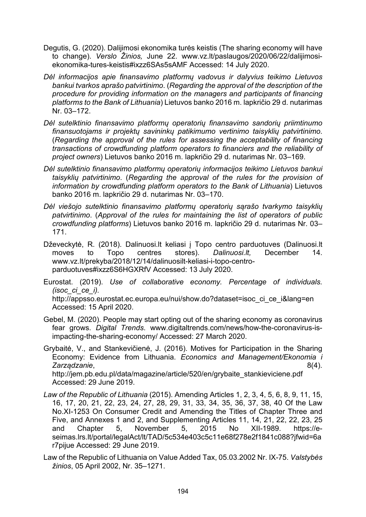- Degutis, G. (2020). Dalijimosi ekonomika turės keistis (The sharing economy will have to change). *Verslo Žinios,* June 22. [www.vz.lt/paslaugos/2020/06/22/dalijimosi](https://www.vz.lt/paslaugos/2020/06/22/dalijimosi-ekonomika-tures-keistis#ixzz6SAs5sAMF)ekonomika-tures-[keistis#ixzz6SAs5sAMF](https://www.vz.lt/paslaugos/2020/06/22/dalijimosi-ekonomika-tures-keistis#ixzz6SAs5sAMF) Accessed: 14 July 2020.
- *Dėl informacijos apie finansavimo platformų vadovus ir dalyvius teikimo Lietuvos bankui tvarkos aprašo patvirtinimo*. (*Regarding the approval of the description of the procedure for providing information on the managers and participants of financing platforms to the Bank of Lithuania*) Lietuvos banko 2016 m. lapkričio 29 d. nutarimas Nr. 03–172.
- *Dėl sutelktinio finansavimo platformų operatorių finansavimo sandorių priimtinumo finansuotojams ir projektų savininkų patikimumo vertinimo taisyklių patvirtinimo*. (*Regarding the approval of the rules for assessing the acceptability of financing transactions of crowdfunding platform operators to financiers and the reliability of project owners*) Lietuvos banko 2016 m. lapkričio 29 d. nutarimas Nr. 03–169.
- *Dėl sutelktinio finansavimo platformų operatorių informacijos teikimo Lietuvos bankui taisyklių patvirtinimo*. (*Regarding the approval of the rules for the provision of information by crowdfunding platform operators to the Bank of Lithuania*) Lietuvos banko 2016 m. lapkričio 29 d. nutarimas Nr. 03–170.
- *Dėl viešojo sutelktinio finansavimo platformų operatorių sąrašo tvarkymo taisyklių patvirtinimo*. (*Approval of the rules for maintaining the list of operators of public crowdfunding platforms*) Lietuvos banko 2016 m. lapkričio 29 d. nutarimas Nr. 03– 171.
- Dževeckytė, R. (2018). Dalinuosi.lt keliasi į Topo centro parduotuves (Dalinuosi.lt moves to Topo centres stores). *Dalinuosi.lt,* December 14. [www.vz.lt/prekyba/2018/12/14/dalinuosilt](https://www.vz.lt/prekyba/2018/12/14/dalinuosilt-keliasi-i-topo-centro-parduotuves#ixzz6S6HGXRfV)-keliasi-i-topo-centro[parduotuves#ixzz6S6HGXRfV](https://www.vz.lt/prekyba/2018/12/14/dalinuosilt-keliasi-i-topo-centro-parduotuves#ixzz6S6HGXRfV) Accessed: 13 July 2020.

Eurostat. (2019). *Use of collaborative economy. Percentage of individuals. (isoc\_ci\_ce\_i).* [http://appsso.eurostat.ec.europa.eu/nui/show.do?dataset=isoc\\_ci\\_ce\\_i&lang=en](http://appsso.eurostat.ec.europa.eu/nui/show.do?dataset=isoc_ci_ce_i&lang=en) Accessed: 15 April 2020.

- Gebel, M. (2020). People may start opting out of the sharing economy as coronavirus fear grows. *Digital Trends*. [www.digitaltrends.com/news/how-the-coronavirus-is](https://www.digitaltrends.com/news/how-the-coronavirus-is-impacting-the-sharing-economy/)[impacting-the-sharing-economy/](https://www.digitaltrends.com/news/how-the-coronavirus-is-impacting-the-sharing-economy/) Accessed: 27 March 2020.
- Grybaitė, V., and Stankevičienė, J. (2016). Motives for Participation in the Sharing Economy: Evidence from Lithuania. *Economics and Management/Ekonomia i Zarządzanie*, 8(4). [http://jem.pb.edu.pl/data/magazine/article/520/en/grybaite\\_stankieviciene.pdf](http://jem.pb.edu.pl/data/magazine/article/520/en/grybaite_stankieviciene.pdf) Accessed: 29 June 2019.
- *Law of the Republic of Lithuania* (2015). Amending Articles 1, 2, 3, 4, 5, 6, 8, 9, 11, 15, 16, 17, 20, 21, 22, 23, 24, 27, 28, 29, 31, 33, 34, 35, 36, 37, 38, 40 Of the Law No.XI-1253 On Consumer Credit and Amending the Titles of Chapter Three and Five, and Annexes 1 and 2, and Supplementing Articles 11, 14, 21, 22, 22, 23, 25 and Chapter 5, November 5, 2015 No XII-1989. [https://e](https://e-seimas.lrs.lt/portal/legalAct/lt/TAD/5c534e403c5c11e68f278e2f1841c088?jfwid=6ar7pijue)[seimas.lrs.lt/portal/legalAct/lt/TAD/5c534e403c5c11e68f278e2](https://e-seimas.lrs.lt/portal/legalAct/lt/TAD/5c534e403c5c11e68f278e2f1841c088?jfwid=6ar7pijue)f1841c088?jfwid=6a [r7pijue](https://e-seimas.lrs.lt/portal/legalAct/lt/TAD/5c534e403c5c11e68f278e2f1841c088?jfwid=6ar7pijue) Accessed: 29 June 2019.
- Law of the Republic of Lithuania on Value Added Tax, 05.03.2002 Nr. IX-75. *Valstybės žinios*, 05 April 2002, Nr. 35–1271.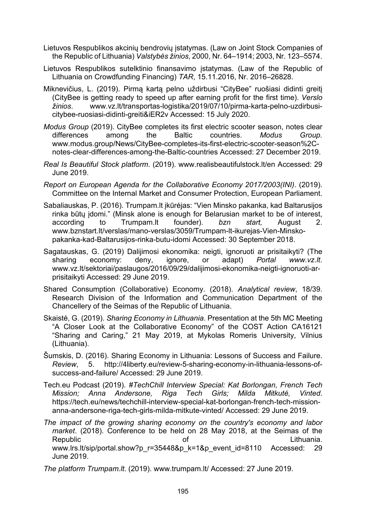- Lietuvos Respublikos akcinių bendrovių įstatymas. (Law on Joint Stock Companies of the Republic of Lithuania) *Valstybės žinios*, 2000, Nr. 64–1914; 2003, Nr. 123–5574.
- Lietuvos Respublikos sutelktinio finansavimo įstatymas. (Law of the Republic of Lithuania on Crowdfunding Financing) *TAR*, 15.11.2016, Nr. 2016–26828.
- Miknevičius, L. (2019). Pirmą kartą pelno uždirbusi "CityBee" ruošiasi didinti greitį (CityBee is getting ready to speed up after earning profit for the first time). *Verslo žinios*. [www.vz.lt/transportas-logistika/2019/07/10/pirma-karta-pelno-](https://www.vz.lt/transportas-logistika/2019/07/10/pirma-karta-pelno-uzdirbusi-citybee-ruosiasi-didinti-greiti&iER2v)uzdirbusicitybee[-ruosiasi-didinti-greiti&iER2v](https://www.vz.lt/transportas-logistika/2019/07/10/pirma-karta-pelno-uzdirbusi-citybee-ruosiasi-didinti-greiti&iER2v) Accessed: 15 July 2020.
- *Modus Group* (2019). CityBee completes its first electric scooter season, notes clear differences among the Baltic countries. *Modus Group.* [www.modus.group/News/CityBee-completes-its-first-electric-scooter-](https://www.modus.group/News/CityBee-completes-its-first-electric-scooter-season%2C-notes-clear-differences-among-the-Baltic-countries)season%2C[notes-clear-differences-among-the-Baltic-countries](https://www.modus.group/News/CityBee-completes-its-first-electric-scooter-season%2C-notes-clear-differences-among-the-Baltic-countries) Accessed: 27 December 2019.
- *Real Is Beautiful Stock platform*. (2019). [www.realisbeautifulstock.lt/en](http://www.realisbeautifulstock.lt/en) Accessed: 29 June 2019.
- *Report on European Agenda for the Collaborative Economy 2017/2003(INI)*. (2019). Committee on the Internal Market and Consumer Protection, European Parliament.
- Sabaliauskas, P. (2016). Trumpam.lt įkūrėjas: "Vien Minsko pakanka, kad Baltarusijos rinka būtų įdomi." (Minsk alone is enough for Belarusian market to be of interest, according to Trumpam.lt founder). *bzn start,* August 2. www.bznstart.lt/verslas/mano[-verslas/3059/Trumpam-lt-ikurejas-Vien-Minsko](http://www.bznstart.lt/verslas/mano-verslas/3059/Trumpam-lt-ikurejas-Vien-Minsko-pakanka-kad-Baltarusijos-rinka-butu-idomi)[pakanka-kad-Baltarusijos-rinka-](http://www.bznstart.lt/verslas/mano-verslas/3059/Trumpam-lt-ikurejas-Vien-Minsko-pakanka-kad-Baltarusijos-rinka-butu-idomi)butu-idomi Accessed: 30 September 2018.
- Sagatauskas, G. (2019) Dalijimosi ekonomika: neigti, ignoruoti ar prisitaikyti? (The sharing economy: deny, ignore, or adapt) *Portal www.vz.lt*. [www.vz.lt/sektoriai/paslaugos/2016/09/29/dalijimosi-ekonomika-neigti-ignoruoti-ar](http://www.vz.lt/sektoriai/paslaugos/2016/09/29/dalijimosi-ekonomika-neigti-ignoruoti-ar-prisitaikyti)[prisitaikyti](http://www.vz.lt/sektoriai/paslaugos/2016/09/29/dalijimosi-ekonomika-neigti-ignoruoti-ar-prisitaikyti) Accessed: 29 June 2019.
- Shared Consumption (Collaborative) Economy. (2018). *Analytical review*, 18/39. Research Division of the Information and Communication Department of the Chancellery of the Seimas of the Republic of Lithuania.
- Skaistė, G. (2019). *Sharing Economy in Lithuania*. Presentation at the 5th MC Meeting "A Closer Look at the Collaborative Economy" of the COST Action CA16121 "Sharing and Caring," 21 May 2019, at Mykolas Romeris University, Vilnius (Lithuania).
- Šumskis, D. (2016). Sharing Economy in Lithuania: Lessons of Success and Failure. *Review*, 5. http://4liberty.eu/review-5-sharing-economy-in-lithuania-lessons-ofsuccess-and-failure/ Accessed: 29 June 2019.
- Tech.eu Podcast (2019). *#TechChill Interview Special: Kat Borlongan, French Tech Mission; Anna Andersone, Riga Tech Girls; Milda Mitkutė, Vinted*. https://tech.eu/news/techchill-interview-special-kat-borlongan-french-tech-missionanna-andersone-riga-tech-girls-milda-mitkute-vinted/ Accessed: 29 June 2019.
- *The impact of the growing sharing economy on the country's economy and labor market*. (2018). Conference to be held on 28 May 2018, at the Seimas of the Republic of Lithuania. [www.lrs.lt/sip/portal.show?p\\_r=35448&p\\_k=1&p\\_event\\_id=8110](https://www.lrs.lt/sip/portal.show?p_r=35448&p_k=1&p_event_id=8110) Accessed: 29 June 2019.
- *The platform Trumpam.lt*. (2019). [www.trumpam.lt/](https://www.trumpam.lt/) Accessed: 27 June 2019.